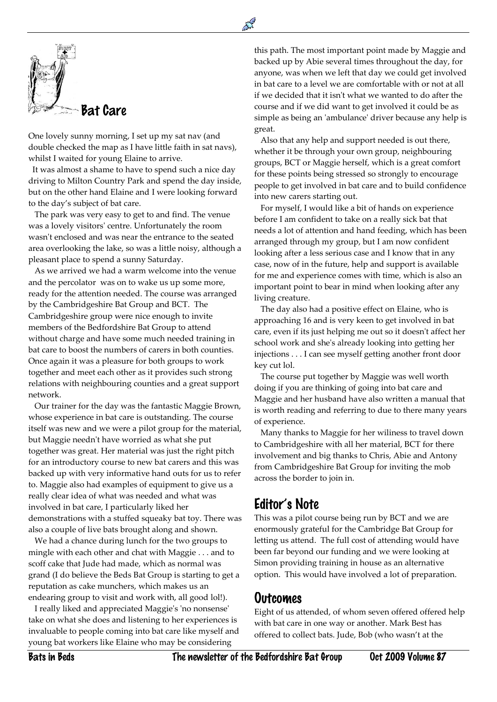

 $\overline{a}$ 

One lovely sunny morning, I set up my sat nav (and double checked the map as I have little faith in sat navs), whilst I waited for young Elaine to arrive.

 It was almost a shame to have to spend such a nice day driving to Milton Country Park and spend the day inside, but on the other hand Elaine and I were looking forward to the day's subject of bat care.

 The park was very easy to get to and find. The venue was a lovely visitors' centre. Unfortunately the room wasn't enclosed and was near the entrance to the seated area overlooking the lake, so was a little noisy, although a pleasant place to spend a sunny Saturday.

 As we arrived we had a warm welcome into the venue and the percolator was on to wake us up some more, ready for the attention needed. The course was arranged by the Cambridgeshire Bat Group and BCT. The Cambridgeshire group were nice enough to invite members of the Bedfordshire Bat Group to attend without charge and have some much needed training in bat care to boost the numbers of carers in both counties. Once again it was a pleasure for both groups to work together and meet each other as it provides such strong relations with neighbouring counties and a great support network.

 Our trainer for the day was the fantastic Maggie Brown, whose experience in bat care is outstanding. The course itself was new and we were a pilot group for the material, but Maggie needn't have worried as what she put together was great. Her material was just the right pitch for an introductory course to new bat carers and this was backed up with very informative hand outs for us to refer to. Maggie also had examples of equipment to give us a really clear idea of what was needed and what was involved in bat care, I particularly liked her demonstrations with a stuffed squeaky bat toy. There was also a couple of live bats brought along and shown.

 We had a chance during lunch for the two groups to mingle with each other and chat with Maggie . . . and to scoff cake that Jude had made, which as normal was grand (I do believe the Beds Bat Group is starting to get a reputation as cake munchers, which makes us an endearing group to visit and work with, all good lol!).

 I really liked and appreciated Maggie's 'no nonsense' take on what she does and listening to her experiences is invaluable to people coming into bat care like myself and young bat workers like Elaine who may be considering

this path. The most important point made by Maggie and backed up by Abie several times throughout the day, for anyone, was when we left that day we could get involved in bat care to a level we are comfortable with or not at all if we decided that it isn't what we wanted to do after the course and if we did want to get involved it could be as simple as being an 'ambulance' driver because any help is great.

 Also that any help and support needed is out there, whether it be through your own group, neighbouring groups, BCT or Maggie herself, which is a great comfort for these points being stressed so strongly to encourage people to get involved in bat care and to build confidence into new carers starting out.

 For myself, I would like a bit of hands on experience before I am confident to take on a really sick bat that needs a lot of attention and hand feeding, which has been arranged through my group, but I am now confident looking after a less serious case and I know that in any case, now of in the future, help and support is available for me and experience comes with time, which is also an important point to bear in mind when looking after any living creature.

 The day also had a positive effect on Elaine, who is approaching 16 and is very keen to get involved in bat care, even if its just helping me out so it doesn't affect her school work and she's already looking into getting her injections . . . I can see myself getting another front door key cut lol.

 The course put together by Maggie was well worth doing if you are thinking of going into bat care and Maggie and her husband have also written a manual that is worth reading and referring to due to there many years of experience.

 Many thanks to Maggie for her wiliness to travel down to Cambridgeshire with all her material, BCT for there involvement and big thanks to Chris, Abie and Antony from Cambridgeshire Bat Group for inviting the mob across the border to join in.

## Editor's Note

This was a pilot course being run by BCT and we are enormously grateful for the Cambridge Bat Group for letting us attend. The full cost of attending would have been far beyond our funding and we were looking at Simon providing training in house as an alternative option. This would have involved a lot of preparation.

## Outcomes

Eight of us attended, of whom seven offered offered help with bat care in one way or another. Mark Best has offered to collect bats. Jude, Bob (who wasn't at the